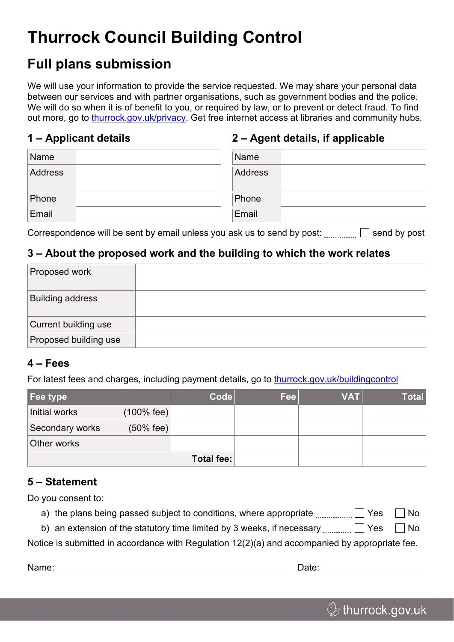# **Thurrock Council Building Control**

## **Full plans submission**

We will use your information to provide the service requested. We may share your personal data between our services and with partner organisations, such as government bodies and the police. We will do so when it is of benefit to you, or required by law, or to prevent or detect fraud. To find out more, go to [thurrock.gov.uk/privacy.](https://www.thurrock.gov.uk/privacy) Get free internet access at libraries and community hubs.

#### **1 – Applicant details**

### **2 – Agent details, if applicable**

| Name    | Name    |  |
|---------|---------|--|
| Address | Address |  |
| Phone   | Phone   |  |
| Email   | Email   |  |

Correspondence will be sent by email unless you ask us to send by post:  $\Box$  send by post

### **3 – About the proposed work and the building to which the work relates**

| Proposed work           |  |
|-------------------------|--|
| <b>Building address</b> |  |
| Current building use    |  |
| Proposed building use   |  |

#### **4 – Fees**

For latest fees and charges, including payment details, go to [thurrock.gov.uk/buildingcontrol](https://www.thurrock.gov.uk/buildingcontrol)

| Fee type        |                      | <b>Code</b> | Fee | <b>VAT</b> | <b>Total</b> |  |  |
|-----------------|----------------------|-------------|-----|------------|--------------|--|--|
| Initial works   | (100% fee)           |             |     |            |              |  |  |
| Secondary works | $(50\% \text{ fee})$ |             |     |            |              |  |  |
| Other works     |                      |             |     |            |              |  |  |
| Total fee:      |                      |             |     |            |              |  |  |

### **5 – Statement**

Do you consent to:

- a) the plans being passed subject to conditions, where appropriate  $\Box$  Yes  $\Box$  No
- b) an extension of the statutory time limited by 3 weeks, if necessary  $\Box$  Thes  $\Box$  No

Notice is submitted in accordance with Regulation 12(2)(a) and accompanied by appropriate fee.

Name: Date: Date: Date: Date: Date: Date: Date: Date: Date: Date: Date: Date: Date: Date: Date: Date: Date: Date: Date: Date: Date: Date: Date: Date: Date: Date: Date: Date: Date: Date: Date: Date: Date: Date: Date: Date: